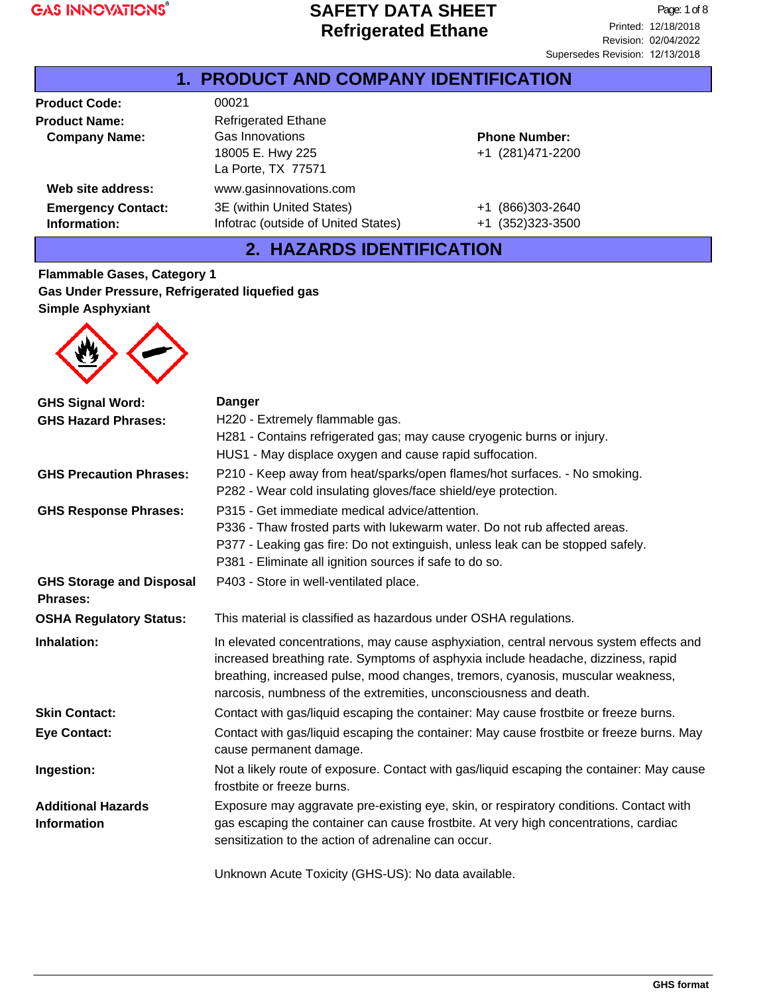| <b>1. PRODUCT AND COMPANY IDENTIFICATION</b> |                                     |                       |  |
|----------------------------------------------|-------------------------------------|-----------------------|--|
| <b>Product Code:</b>                         | 00021                               |                       |  |
| <b>Product Name:</b>                         | <b>Refrigerated Ethane</b>          |                       |  |
| <b>Company Name:</b>                         | Gas Innovations                     | <b>Phone Number:</b>  |  |
|                                              | 18005 E. Hwy 225                    | +1 (281)471-2200      |  |
|                                              | La Porte, TX 77571                  |                       |  |
| Web site address:                            | www.gasinnovations.com              |                       |  |
| <b>Emergency Contact:</b>                    | 3E (within United States)           | (866)303-2640<br>+1   |  |
| Information:                                 | Infotrac (outside of United States) | (352)323-3500<br>$+1$ |  |

# **2. HAZARDS IDENTIFICATION**

**Flammable Gases, Category 1 Gas Under Pressure, Refrigerated liquefied gas Simple Asphyxiant**



| <b>GHS Signal Word:</b>         | <b>Danger</b>                                                                                                                                                                                                                                                                                                                       |  |  |
|---------------------------------|-------------------------------------------------------------------------------------------------------------------------------------------------------------------------------------------------------------------------------------------------------------------------------------------------------------------------------------|--|--|
| <b>GHS Hazard Phrases:</b>      | H220 - Extremely flammable gas.                                                                                                                                                                                                                                                                                                     |  |  |
|                                 | H281 - Contains refrigerated gas; may cause cryogenic burns or injury.                                                                                                                                                                                                                                                              |  |  |
|                                 | HUS1 - May displace oxygen and cause rapid suffocation.                                                                                                                                                                                                                                                                             |  |  |
| <b>GHS Precaution Phrases:</b>  | P210 - Keep away from heat/sparks/open flames/hot surfaces. - No smoking.                                                                                                                                                                                                                                                           |  |  |
|                                 | P282 - Wear cold insulating gloves/face shield/eye protection.                                                                                                                                                                                                                                                                      |  |  |
| <b>GHS Response Phrases:</b>    | P315 - Get immediate medical advice/attention.                                                                                                                                                                                                                                                                                      |  |  |
|                                 | P336 - Thaw frosted parts with lukewarm water. Do not rub affected areas.                                                                                                                                                                                                                                                           |  |  |
|                                 | P377 - Leaking gas fire: Do not extinguish, unless leak can be stopped safely.                                                                                                                                                                                                                                                      |  |  |
|                                 | P381 - Eliminate all ignition sources if safe to do so.                                                                                                                                                                                                                                                                             |  |  |
| <b>GHS Storage and Disposal</b> | P403 - Store in well-ventilated place.                                                                                                                                                                                                                                                                                              |  |  |
| Phrases:                        |                                                                                                                                                                                                                                                                                                                                     |  |  |
| <b>OSHA Regulatory Status:</b>  | This material is classified as hazardous under OSHA regulations.                                                                                                                                                                                                                                                                    |  |  |
| Inhalation:                     | In elevated concentrations, may cause asphyxiation, central nervous system effects and<br>increased breathing rate. Symptoms of asphyxia include headache, dizziness, rapid<br>breathing, increased pulse, mood changes, tremors, cyanosis, muscular weakness,<br>narcosis, numbness of the extremities, unconsciousness and death. |  |  |
| <b>Skin Contact:</b>            | Contact with gas/liquid escaping the container: May cause frostbite or freeze burns.                                                                                                                                                                                                                                                |  |  |
| <b>Eye Contact:</b>             | Contact with gas/liquid escaping the container: May cause frostbite or freeze burns. May<br>cause permanent damage.                                                                                                                                                                                                                 |  |  |
| Ingestion:                      | Not a likely route of exposure. Contact with gas/liquid escaping the container: May cause<br>frostbite or freeze burns.                                                                                                                                                                                                             |  |  |
| <b>Additional Hazards</b>       | Exposure may aggravate pre-existing eye, skin, or respiratory conditions. Contact with                                                                                                                                                                                                                                              |  |  |
| <b>Information</b>              | gas escaping the container can cause frostbite. At very high concentrations, cardiac<br>sensitization to the action of adrenaline can occur.                                                                                                                                                                                        |  |  |
|                                 | Unknown Acute Toxicity (GHS-US): No data available.                                                                                                                                                                                                                                                                                 |  |  |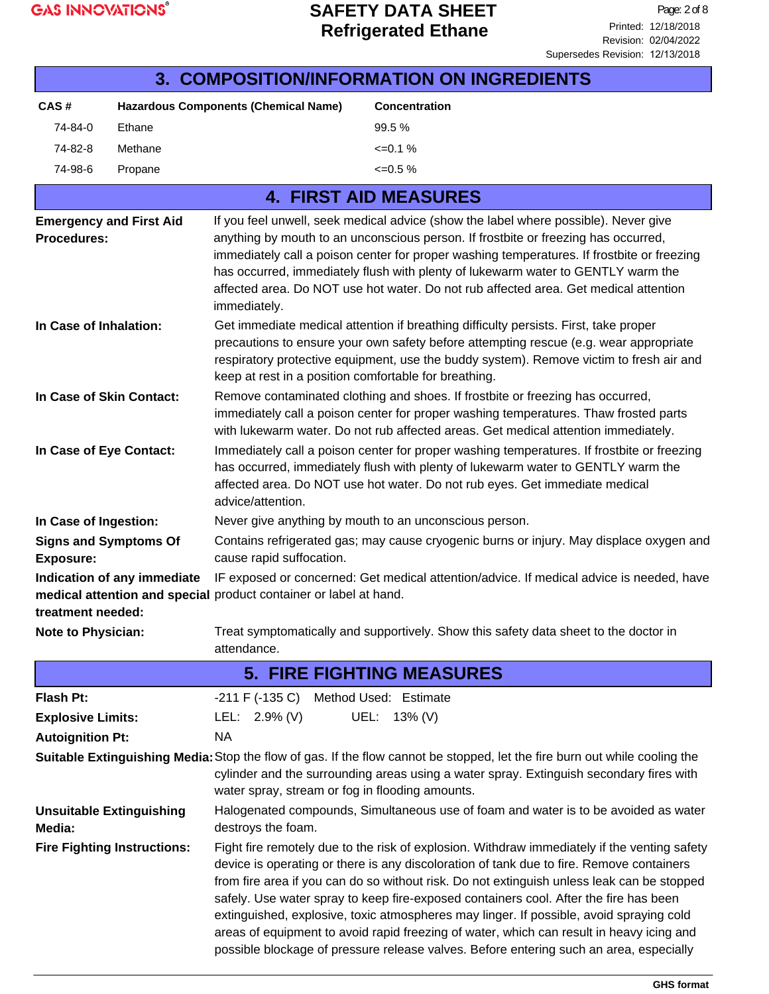| <b>3. COMPOSITION/INFORMATION ON INGREDIENTS</b>                                                                                                                                                                                                                                                                                                                                                                                                                                                                                                                                                                                                                                                       |                                                                                                                           |                                                                                                                                                                                                                                                                                                                                                                                                                                                                     |                                                                                                                                                                                                                       |  |
|--------------------------------------------------------------------------------------------------------------------------------------------------------------------------------------------------------------------------------------------------------------------------------------------------------------------------------------------------------------------------------------------------------------------------------------------------------------------------------------------------------------------------------------------------------------------------------------------------------------------------------------------------------------------------------------------------------|---------------------------------------------------------------------------------------------------------------------------|---------------------------------------------------------------------------------------------------------------------------------------------------------------------------------------------------------------------------------------------------------------------------------------------------------------------------------------------------------------------------------------------------------------------------------------------------------------------|-----------------------------------------------------------------------------------------------------------------------------------------------------------------------------------------------------------------------|--|
| CAS#                                                                                                                                                                                                                                                                                                                                                                                                                                                                                                                                                                                                                                                                                                   |                                                                                                                           | <b>Hazardous Components (Chemical Name)</b>                                                                                                                                                                                                                                                                                                                                                                                                                         | <b>Concentration</b>                                                                                                                                                                                                  |  |
| 74-84-0                                                                                                                                                                                                                                                                                                                                                                                                                                                                                                                                                                                                                                                                                                | Ethane                                                                                                                    |                                                                                                                                                                                                                                                                                                                                                                                                                                                                     | 99.5%                                                                                                                                                                                                                 |  |
| 74-82-8                                                                                                                                                                                                                                                                                                                                                                                                                                                                                                                                                                                                                                                                                                | Methane                                                                                                                   |                                                                                                                                                                                                                                                                                                                                                                                                                                                                     | $\leq 0.1\%$                                                                                                                                                                                                          |  |
| 74-98-6                                                                                                                                                                                                                                                                                                                                                                                                                                                                                                                                                                                                                                                                                                | Propane                                                                                                                   |                                                                                                                                                                                                                                                                                                                                                                                                                                                                     | $\leq 0.5\%$                                                                                                                                                                                                          |  |
|                                                                                                                                                                                                                                                                                                                                                                                                                                                                                                                                                                                                                                                                                                        |                                                                                                                           |                                                                                                                                                                                                                                                                                                                                                                                                                                                                     | <b>4. FIRST AID MEASURES</b>                                                                                                                                                                                          |  |
| <b>Emergency and First Aid</b><br>Procedures:                                                                                                                                                                                                                                                                                                                                                                                                                                                                                                                                                                                                                                                          |                                                                                                                           | If you feel unwell, seek medical advice (show the label where possible). Never give<br>anything by mouth to an unconscious person. If frostbite or freezing has occurred,<br>immediately call a poison center for proper washing temperatures. If frostbite or freezing<br>has occurred, immediately flush with plenty of lukewarm water to GENTLY warm the<br>affected area. Do NOT use hot water. Do not rub affected area. Get medical attention<br>immediately. |                                                                                                                                                                                                                       |  |
| In Case of Inhalation:                                                                                                                                                                                                                                                                                                                                                                                                                                                                                                                                                                                                                                                                                 |                                                                                                                           | Get immediate medical attention if breathing difficulty persists. First, take proper<br>precautions to ensure your own safety before attempting rescue (e.g. wear appropriate<br>respiratory protective equipment, use the buddy system). Remove victim to fresh air and<br>keep at rest in a position comfortable for breathing.                                                                                                                                   |                                                                                                                                                                                                                       |  |
| In Case of Skin Contact:                                                                                                                                                                                                                                                                                                                                                                                                                                                                                                                                                                                                                                                                               |                                                                                                                           | Remove contaminated clothing and shoes. If frostbite or freezing has occurred,<br>immediately call a poison center for proper washing temperatures. Thaw frosted parts<br>with lukewarm water. Do not rub affected areas. Get medical attention immediately.                                                                                                                                                                                                        |                                                                                                                                                                                                                       |  |
| In Case of Eye Contact:                                                                                                                                                                                                                                                                                                                                                                                                                                                                                                                                                                                                                                                                                |                                                                                                                           | Immediately call a poison center for proper washing temperatures. If frostbite or freezing<br>has occurred, immediately flush with plenty of lukewarm water to GENTLY warm the<br>affected area. Do NOT use hot water. Do not rub eyes. Get immediate medical<br>advice/attention.                                                                                                                                                                                  |                                                                                                                                                                                                                       |  |
| In Case of Ingestion:                                                                                                                                                                                                                                                                                                                                                                                                                                                                                                                                                                                                                                                                                  |                                                                                                                           | Never give anything by mouth to an unconscious person.                                                                                                                                                                                                                                                                                                                                                                                                              |                                                                                                                                                                                                                       |  |
| <b>Signs and Symptoms Of</b><br><b>Exposure:</b>                                                                                                                                                                                                                                                                                                                                                                                                                                                                                                                                                                                                                                                       |                                                                                                                           | Contains refrigerated gas; may cause cryogenic burns or injury. May displace oxygen and<br>cause rapid suffocation.                                                                                                                                                                                                                                                                                                                                                 |                                                                                                                                                                                                                       |  |
| IF exposed or concerned: Get medical attention/advice. If medical advice is needed, have<br>Indication of any immediate<br>medical attention and special product container or label at hand.<br>treatment needed:                                                                                                                                                                                                                                                                                                                                                                                                                                                                                      |                                                                                                                           |                                                                                                                                                                                                                                                                                                                                                                                                                                                                     |                                                                                                                                                                                                                       |  |
|                                                                                                                                                                                                                                                                                                                                                                                                                                                                                                                                                                                                                                                                                                        | Treat symptomatically and supportively. Show this safety data sheet to the doctor in<br>Note to Physician:<br>attendance. |                                                                                                                                                                                                                                                                                                                                                                                                                                                                     |                                                                                                                                                                                                                       |  |
|                                                                                                                                                                                                                                                                                                                                                                                                                                                                                                                                                                                                                                                                                                        |                                                                                                                           |                                                                                                                                                                                                                                                                                                                                                                                                                                                                     | <b>5. FIRE FIGHTING MEASURES</b>                                                                                                                                                                                      |  |
| Flash Pt:                                                                                                                                                                                                                                                                                                                                                                                                                                                                                                                                                                                                                                                                                              |                                                                                                                           | -211 F (-135 C) Method Used: Estimate                                                                                                                                                                                                                                                                                                                                                                                                                               |                                                                                                                                                                                                                       |  |
| <b>Explosive Limits:</b>                                                                                                                                                                                                                                                                                                                                                                                                                                                                                                                                                                                                                                                                               |                                                                                                                           | LEL: 2.9% (V)                                                                                                                                                                                                                                                                                                                                                                                                                                                       | UEL: 13% (V)                                                                                                                                                                                                          |  |
| <b>Autoignition Pt:</b>                                                                                                                                                                                                                                                                                                                                                                                                                                                                                                                                                                                                                                                                                |                                                                                                                           | <b>NA</b>                                                                                                                                                                                                                                                                                                                                                                                                                                                           |                                                                                                                                                                                                                       |  |
|                                                                                                                                                                                                                                                                                                                                                                                                                                                                                                                                                                                                                                                                                                        |                                                                                                                           | water spray, stream or fog in flooding amounts.                                                                                                                                                                                                                                                                                                                                                                                                                     | Suitable Extinguishing Media: Stop the flow of gas. If the flow cannot be stopped, let the fire burn out while cooling the<br>cylinder and the surrounding areas using a water spray. Extinguish secondary fires with |  |
| Media:                                                                                                                                                                                                                                                                                                                                                                                                                                                                                                                                                                                                                                                                                                 | <b>Unsuitable Extinguishing</b>                                                                                           | Halogenated compounds, Simultaneous use of foam and water is to be avoided as water<br>destroys the foam.                                                                                                                                                                                                                                                                                                                                                           |                                                                                                                                                                                                                       |  |
| <b>Fire Fighting Instructions:</b><br>Fight fire remotely due to the risk of explosion. Withdraw immediately if the venting safety<br>device is operating or there is any discoloration of tank due to fire. Remove containers<br>from fire area if you can do so without risk. Do not extinguish unless leak can be stopped<br>safely. Use water spray to keep fire-exposed containers cool. After the fire has been<br>extinguished, explosive, toxic atmospheres may linger. If possible, avoid spraying cold<br>areas of equipment to avoid rapid freezing of water, which can result in heavy icing and<br>possible blockage of pressure release valves. Before entering such an area, especially |                                                                                                                           |                                                                                                                                                                                                                                                                                                                                                                                                                                                                     |                                                                                                                                                                                                                       |  |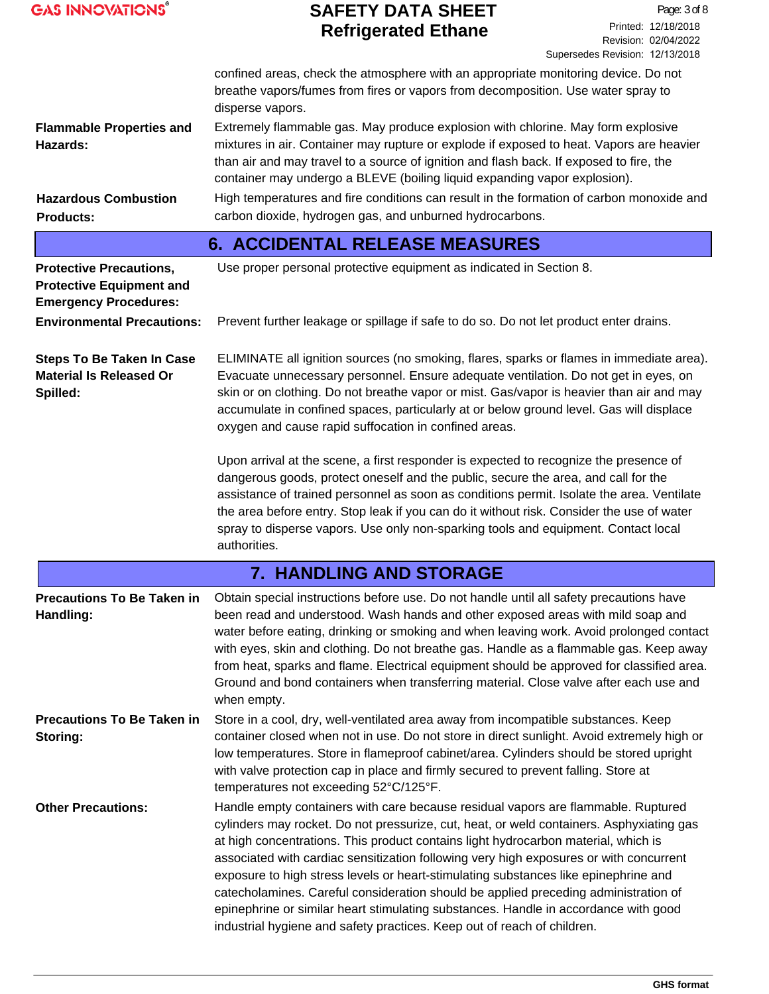|  | <b>GAS INNOVATIONS®</b> |
|--|-------------------------|
|  |                         |

|                                                                                                   | confined areas, check the atmosphere with an appropriate monitoring device. Do not<br>breathe vapors/fumes from fires or vapors from decomposition. Use water spray to<br>disperse vapors.                                                                                                                                                                                                                                                                                                                                                                                                                                                                                                                    |
|---------------------------------------------------------------------------------------------------|---------------------------------------------------------------------------------------------------------------------------------------------------------------------------------------------------------------------------------------------------------------------------------------------------------------------------------------------------------------------------------------------------------------------------------------------------------------------------------------------------------------------------------------------------------------------------------------------------------------------------------------------------------------------------------------------------------------|
| <b>Flammable Properties and</b><br>Hazards:                                                       | Extremely flammable gas. May produce explosion with chlorine. May form explosive<br>mixtures in air. Container may rupture or explode if exposed to heat. Vapors are heavier<br>than air and may travel to a source of ignition and flash back. If exposed to fire, the<br>container may undergo a BLEVE (boiling liquid expanding vapor explosion).                                                                                                                                                                                                                                                                                                                                                          |
| <b>Hazardous Combustion</b><br><b>Products:</b>                                                   | High temperatures and fire conditions can result in the formation of carbon monoxide and<br>carbon dioxide, hydrogen gas, and unburned hydrocarbons.                                                                                                                                                                                                                                                                                                                                                                                                                                                                                                                                                          |
|                                                                                                   | <b>6. ACCIDENTAL RELEASE MEASURES</b>                                                                                                                                                                                                                                                                                                                                                                                                                                                                                                                                                                                                                                                                         |
| <b>Protective Precautions,</b><br><b>Protective Equipment and</b><br><b>Emergency Procedures:</b> | Use proper personal protective equipment as indicated in Section 8.                                                                                                                                                                                                                                                                                                                                                                                                                                                                                                                                                                                                                                           |
| <b>Environmental Precautions:</b>                                                                 | Prevent further leakage or spillage if safe to do so. Do not let product enter drains.                                                                                                                                                                                                                                                                                                                                                                                                                                                                                                                                                                                                                        |
| <b>Steps To Be Taken In Case</b><br><b>Material Is Released Or</b><br>Spilled:                    | ELIMINATE all ignition sources (no smoking, flares, sparks or flames in immediate area).<br>Evacuate unnecessary personnel. Ensure adequate ventilation. Do not get in eyes, on<br>skin or on clothing. Do not breathe vapor or mist. Gas/vapor is heavier than air and may<br>accumulate in confined spaces, particularly at or below ground level. Gas will displace<br>oxygen and cause rapid suffocation in confined areas.                                                                                                                                                                                                                                                                               |
|                                                                                                   | Upon arrival at the scene, a first responder is expected to recognize the presence of<br>dangerous goods, protect oneself and the public, secure the area, and call for the<br>assistance of trained personnel as soon as conditions permit. Isolate the area. Ventilate<br>the area before entry. Stop leak if you can do it without risk. Consider the use of water<br>spray to disperse vapors. Use only non-sparking tools and equipment. Contact local<br>authorities.                                                                                                                                                                                                                                   |
|                                                                                                   | 7. HANDLING AND STORAGE                                                                                                                                                                                                                                                                                                                                                                                                                                                                                                                                                                                                                                                                                       |
| <b>Precautions To Be Taken in</b><br>Handling:                                                    | Obtain special instructions before use. Do not handle until all safety precautions have<br>been read and understood. Wash hands and other exposed areas with mild soap and<br>water before eating, drinking or smoking and when leaving work. Avoid prolonged contact<br>with eyes, skin and clothing. Do not breathe gas. Handle as a flammable gas. Keep away<br>from heat, sparks and flame. Electrical equipment should be approved for classified area.<br>Ground and bond containers when transferring material. Close valve after each use and<br>when empty.                                                                                                                                          |
| <b>Precautions To Be Taken in</b><br>Storing:                                                     | Store in a cool, dry, well-ventilated area away from incompatible substances. Keep<br>container closed when not in use. Do not store in direct sunlight. Avoid extremely high or<br>low temperatures. Store in flameproof cabinet/area. Cylinders should be stored upright<br>with valve protection cap in place and firmly secured to prevent falling. Store at<br>temperatures not exceeding 52°C/125°F.                                                                                                                                                                                                                                                                                                    |
| <b>Other Precautions:</b>                                                                         | Handle empty containers with care because residual vapors are flammable. Ruptured<br>cylinders may rocket. Do not pressurize, cut, heat, or weld containers. Asphyxiating gas<br>at high concentrations. This product contains light hydrocarbon material, which is<br>associated with cardiac sensitization following very high exposures or with concurrent<br>exposure to high stress levels or heart-stimulating substances like epinephrine and<br>catecholamines. Careful consideration should be applied preceding administration of<br>epinephrine or similar heart stimulating substances. Handle in accordance with good<br>industrial hygiene and safety practices. Keep out of reach of children. |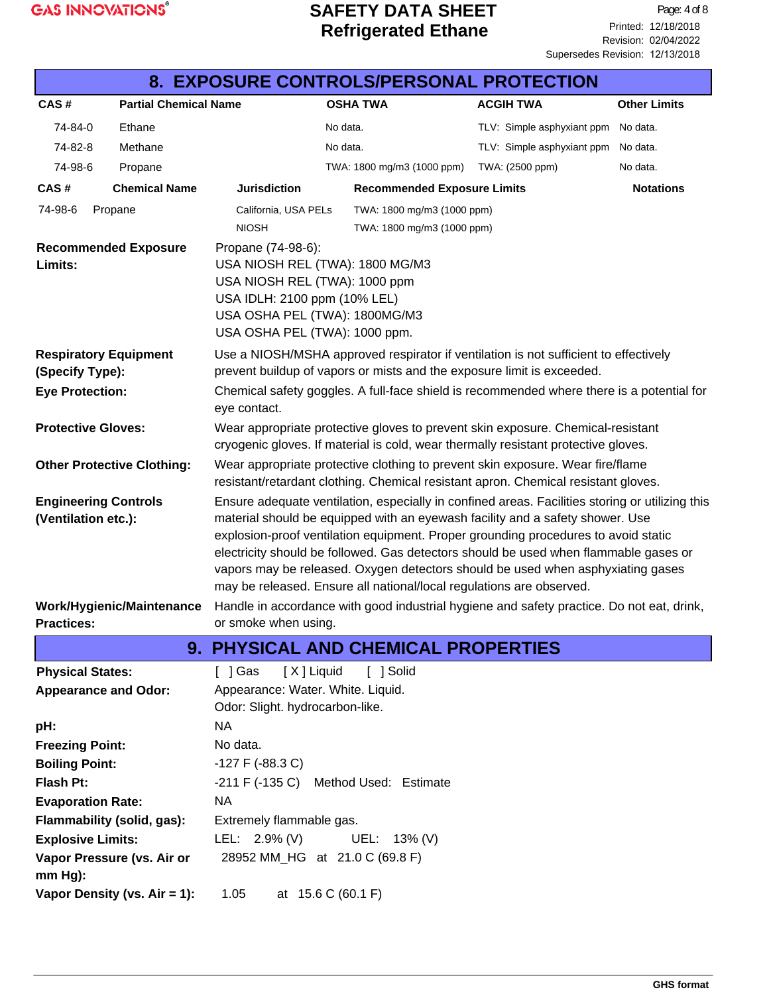

| 8. EXPOSURE CONTROLS/PERSONAL PROTECTION           |                                   |                                                                                                                                                                                                                                                                                                                                                                                                                                                                                                                           |  |                                            |                                                                                           |                     |
|----------------------------------------------------|-----------------------------------|---------------------------------------------------------------------------------------------------------------------------------------------------------------------------------------------------------------------------------------------------------------------------------------------------------------------------------------------------------------------------------------------------------------------------------------------------------------------------------------------------------------------------|--|--------------------------------------------|-------------------------------------------------------------------------------------------|---------------------|
| CAS#                                               | <b>Partial Chemical Name</b>      |                                                                                                                                                                                                                                                                                                                                                                                                                                                                                                                           |  | <b>OSHA TWA</b>                            | <b>ACGIH TWA</b>                                                                          | <b>Other Limits</b> |
| 74-84-0                                            | Ethane                            | No data.                                                                                                                                                                                                                                                                                                                                                                                                                                                                                                                  |  |                                            | TLV: Simple asphyxiant ppm                                                                | No data.            |
| 74-82-8                                            | Methane                           | No data.                                                                                                                                                                                                                                                                                                                                                                                                                                                                                                                  |  |                                            | TLV: Simple asphyxiant ppm                                                                | No data.            |
| 74-98-6                                            | Propane                           |                                                                                                                                                                                                                                                                                                                                                                                                                                                                                                                           |  | TWA: 1800 mg/m3 (1000 ppm)                 | TWA: (2500 ppm)                                                                           | No data.            |
| CAS#                                               | <b>Chemical Name</b>              | <b>Jurisdiction</b>                                                                                                                                                                                                                                                                                                                                                                                                                                                                                                       |  | <b>Recommended Exposure Limits</b>         |                                                                                           | <b>Notations</b>    |
| 74-98-6                                            | Propane                           | California, USA PELs                                                                                                                                                                                                                                                                                                                                                                                                                                                                                                      |  | TWA: 1800 mg/m3 (1000 ppm)                 |                                                                                           |                     |
|                                                    |                                   | <b>NIOSH</b>                                                                                                                                                                                                                                                                                                                                                                                                                                                                                                              |  | TWA: 1800 mg/m3 (1000 ppm)                 |                                                                                           |                     |
| Limits:                                            | <b>Recommended Exposure</b>       | Propane (74-98-6):<br>USA NIOSH REL (TWA): 1800 MG/M3<br>USA NIOSH REL (TWA): 1000 ppm<br>USA IDLH: 2100 ppm (10% LEL)<br>USA OSHA PEL (TWA): 1800MG/M3<br>USA OSHA PEL (TWA): 1000 ppm.                                                                                                                                                                                                                                                                                                                                  |  |                                            |                                                                                           |                     |
| <b>Respiratory Equipment</b><br>(Specify Type):    |                                   |                                                                                                                                                                                                                                                                                                                                                                                                                                                                                                                           |  |                                            | Use a NIOSH/MSHA approved respirator if ventilation is not sufficient to effectively      |                     |
| <b>Eye Protection:</b>                             |                                   | prevent buildup of vapors or mists and the exposure limit is exceeded.<br>Chemical safety goggles. A full-face shield is recommended where there is a potential for<br>eye contact.                                                                                                                                                                                                                                                                                                                                       |  |                                            |                                                                                           |                     |
| <b>Protective Gloves:</b>                          |                                   | Wear appropriate protective gloves to prevent skin exposure. Chemical-resistant<br>cryogenic gloves. If material is cold, wear thermally resistant protective gloves.                                                                                                                                                                                                                                                                                                                                                     |  |                                            |                                                                                           |                     |
|                                                    | <b>Other Protective Clothing:</b> | Wear appropriate protective clothing to prevent skin exposure. Wear fire/flame<br>resistant/retardant clothing. Chemical resistant apron. Chemical resistant gloves.                                                                                                                                                                                                                                                                                                                                                      |  |                                            |                                                                                           |                     |
| <b>Engineering Controls</b><br>(Ventilation etc.): |                                   | Ensure adequate ventilation, especially in confined areas. Facilities storing or utilizing this<br>material should be equipped with an eyewash facility and a safety shower. Use<br>explosion-proof ventilation equipment. Proper grounding procedures to avoid static<br>electricity should be followed. Gas detectors should be used when flammable gases or<br>vapors may be released. Oxygen detectors should be used when asphyxiating gases<br>may be released. Ensure all national/local regulations are observed. |  |                                            |                                                                                           |                     |
| <b>Practices:</b>                                  | Work/Hygienic/Maintenance         | or smoke when using.                                                                                                                                                                                                                                                                                                                                                                                                                                                                                                      |  |                                            | Handle in accordance with good industrial hygiene and safety practice. Do not eat, drink, |                     |
|                                                    |                                   |                                                                                                                                                                                                                                                                                                                                                                                                                                                                                                                           |  | <b>9. PHYSICAL AND CHEMICAL PROPERTIES</b> |                                                                                           |                     |
| <b>Physical States:</b>                            |                                   | [ ] Gas<br>[X] Liquid                                                                                                                                                                                                                                                                                                                                                                                                                                                                                                     |  | [ ] Solid                                  |                                                                                           |                     |
| <b>Appearance and Odor:</b>                        |                                   | Appearance: Water. White. Liquid.                                                                                                                                                                                                                                                                                                                                                                                                                                                                                         |  |                                            |                                                                                           |                     |
|                                                    |                                   | Odor: Slight. hydrocarbon-like.                                                                                                                                                                                                                                                                                                                                                                                                                                                                                           |  |                                            |                                                                                           |                     |
| pH:                                                |                                   | <b>NA</b>                                                                                                                                                                                                                                                                                                                                                                                                                                                                                                                 |  |                                            |                                                                                           |                     |
| <b>Freezing Point:</b>                             |                                   | No data.                                                                                                                                                                                                                                                                                                                                                                                                                                                                                                                  |  |                                            |                                                                                           |                     |
| <b>Boiling Point:</b>                              |                                   | $-127$ F ( $-88.3$ C)                                                                                                                                                                                                                                                                                                                                                                                                                                                                                                     |  |                                            |                                                                                           |                     |
| Flash Pt:                                          |                                   | $-211$ F ( $-135$ C)<br>Method Used: Estimate                                                                                                                                                                                                                                                                                                                                                                                                                                                                             |  |                                            |                                                                                           |                     |
| <b>Evaporation Rate:</b>                           |                                   | <b>NA</b>                                                                                                                                                                                                                                                                                                                                                                                                                                                                                                                 |  |                                            |                                                                                           |                     |
|                                                    | Flammability (solid, gas):        | Extremely flammable gas.                                                                                                                                                                                                                                                                                                                                                                                                                                                                                                  |  |                                            |                                                                                           |                     |
| <b>Explosive Limits:</b>                           |                                   | LEL: $2.9\%$ (V)                                                                                                                                                                                                                                                                                                                                                                                                                                                                                                          |  | UEL: 13% (V)                               |                                                                                           |                     |
| $mm Hg$ ):                                         | Vapor Pressure (vs. Air or        | 28952 MM_HG at 21.0 C (69.8 F)                                                                                                                                                                                                                                                                                                                                                                                                                                                                                            |  |                                            |                                                                                           |                     |
|                                                    | Vapor Density (vs. Air = 1):      | 1.05<br>at 15.6 C (60.1 F)                                                                                                                                                                                                                                                                                                                                                                                                                                                                                                |  |                                            |                                                                                           |                     |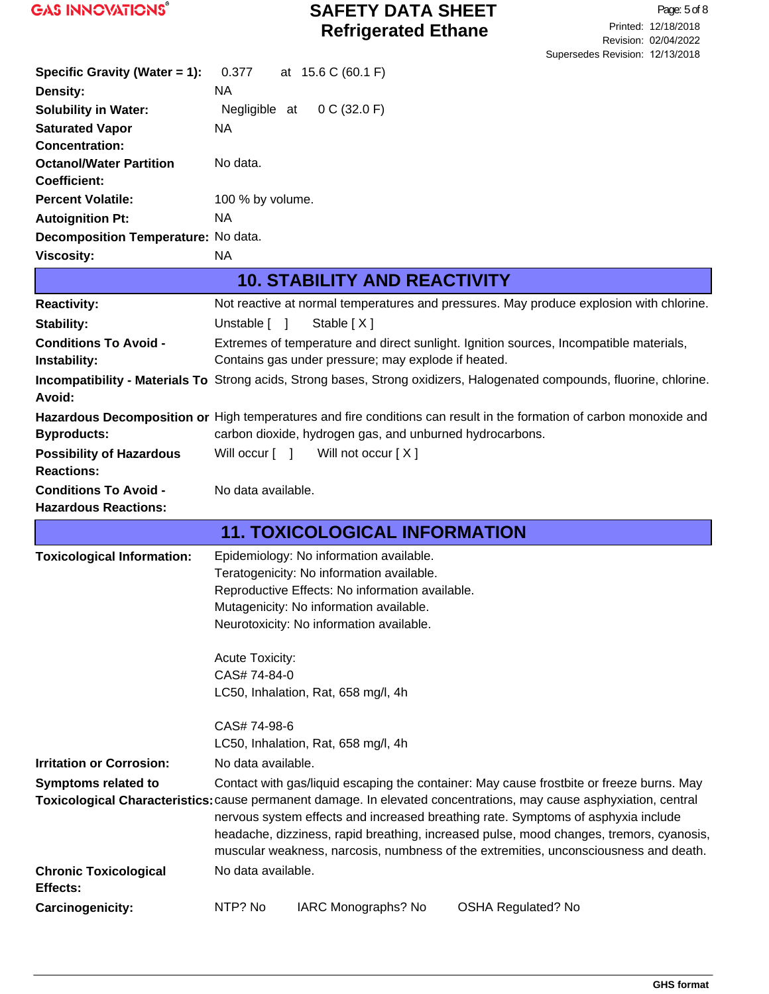

| Specific Gravity (Water = 1):                            | 0.377<br>at 15.6 C (60.1 F)                                                                                                                                                  |
|----------------------------------------------------------|------------------------------------------------------------------------------------------------------------------------------------------------------------------------------|
| Density:                                                 | NA.                                                                                                                                                                          |
| <b>Solubility in Water:</b>                              | 0 C (32.0 F)<br>Negligible at                                                                                                                                                |
| <b>Saturated Vapor</b>                                   | <b>NA</b>                                                                                                                                                                    |
| <b>Concentration:</b>                                    |                                                                                                                                                                              |
| <b>Octanol/Water Partition</b>                           | No data.                                                                                                                                                                     |
| <b>Coefficient:</b><br><b>Percent Volatile:</b>          |                                                                                                                                                                              |
|                                                          | 100 % by volume.<br><b>NA</b>                                                                                                                                                |
| <b>Autoignition Pt:</b>                                  |                                                                                                                                                                              |
| Decomposition Temperature: No data.<br><b>Viscosity:</b> | <b>NA</b>                                                                                                                                                                    |
|                                                          |                                                                                                                                                                              |
|                                                          | <b>10. STABILITY AND REACTIVITY</b>                                                                                                                                          |
| <b>Reactivity:</b>                                       | Not reactive at normal temperatures and pressures. May produce explosion with chlorine.                                                                                      |
| Stability:                                               | Unstable $\lceil \quad \rceil$<br>Stable $[X]$                                                                                                                               |
| <b>Conditions To Avoid -</b>                             | Extremes of temperature and direct sunlight. Ignition sources, Incompatible materials,                                                                                       |
| Instability:                                             | Contains gas under pressure; may explode if heated.                                                                                                                          |
| Avoid:                                                   | Incompatibility - Materials To Strong acids, Strong bases, Strong oxidizers, Halogenated compounds, fluorine, chlorine.                                                      |
|                                                          | Hazardous Decomposition or High temperatures and fire conditions can result in the formation of carbon monoxide and                                                          |
| <b>Byproducts:</b>                                       | carbon dioxide, hydrogen gas, and unburned hydrocarbons.                                                                                                                     |
| <b>Possibility of Hazardous</b><br><b>Reactions:</b>     | Will occur $\lceil \quad \rceil$<br>Will not occur [X]                                                                                                                       |
| <b>Conditions To Avoid -</b>                             | No data available.                                                                                                                                                           |
| <b>Hazardous Reactions:</b>                              |                                                                                                                                                                              |
|                                                          | <b>11. TOXICOLOGICAL INFORMATION</b>                                                                                                                                         |
| <b>Toxicological Information:</b>                        | Epidemiology: No information available.                                                                                                                                      |
|                                                          | Teratogenicity: No information available.                                                                                                                                    |
|                                                          | Reproductive Effects: No information available.                                                                                                                              |
|                                                          | Mutagenicity: No information available.                                                                                                                                      |
|                                                          | Neurotoxicity: No information available.                                                                                                                                     |
|                                                          |                                                                                                                                                                              |
|                                                          | <b>Acute Toxicity:</b><br>CAS# 74-84-0                                                                                                                                       |
|                                                          | LC50, Inhalation, Rat, 658 mg/l, 4h                                                                                                                                          |
|                                                          | CAS# 74-98-6                                                                                                                                                                 |
|                                                          | LC50, Inhalation, Rat, 658 mg/l, 4h                                                                                                                                          |
| <b>Irritation or Corrosion:</b>                          | No data available.                                                                                                                                                           |
| <b>Symptoms related to</b>                               | Contact with gas/liquid escaping the container: May cause frostbite or freeze burns. May                                                                                     |
|                                                          | Toxicological Characteristics: cause permanent damage. In elevated concentrations, may cause asphyxiation, central                                                           |
|                                                          | nervous system effects and increased breathing rate. Symptoms of asphyxia include<br>headache, dizziness, rapid breathing, increased pulse, mood changes, tremors, cyanosis, |
|                                                          | muscular weakness, narcosis, numbness of the extremities, unconsciousness and death.                                                                                         |
| <b>Chronic Toxicological</b><br>Effects:                 | No data available.                                                                                                                                                           |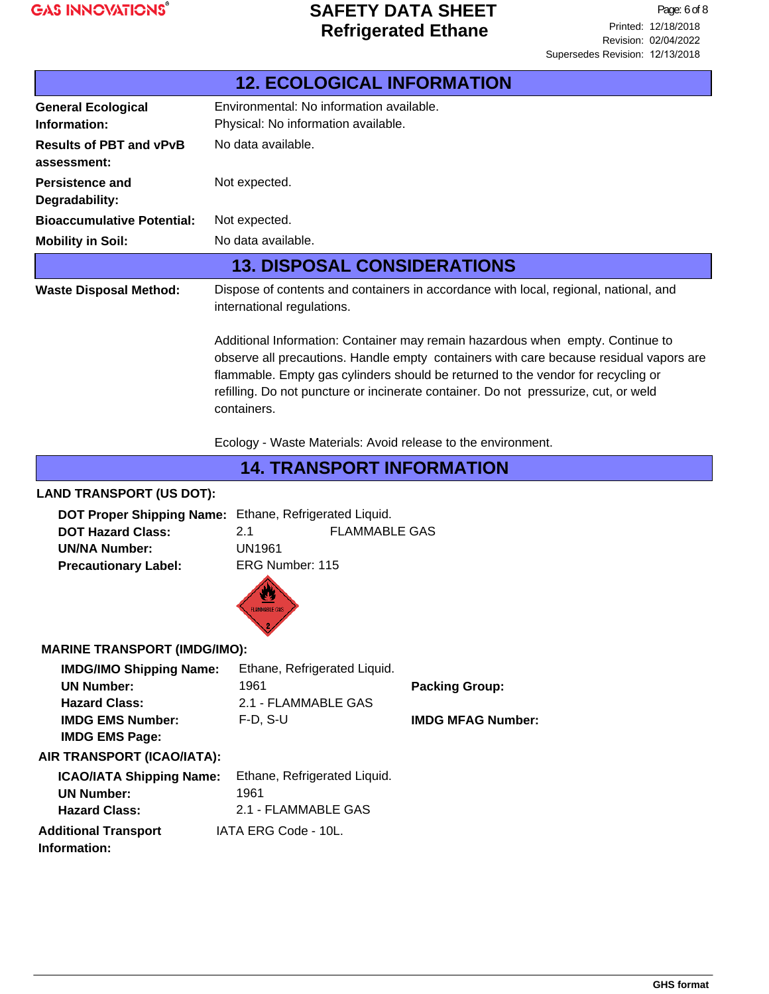

|                                                                                                                                 | <b>12. ECOLOGICAL INFORMATION</b>                                                                                                                                                                                                                                                                                                                                  |                                                                                      |  |
|---------------------------------------------------------------------------------------------------------------------------------|--------------------------------------------------------------------------------------------------------------------------------------------------------------------------------------------------------------------------------------------------------------------------------------------------------------------------------------------------------------------|--------------------------------------------------------------------------------------|--|
| <b>General Ecological</b><br>Information:                                                                                       | Environmental: No information available.<br>Physical: No information available.                                                                                                                                                                                                                                                                                    |                                                                                      |  |
| <b>Results of PBT and vPvB</b><br>assessment:                                                                                   | No data available.                                                                                                                                                                                                                                                                                                                                                 |                                                                                      |  |
| <b>Persistence and</b><br>Degradability:                                                                                        | Not expected.                                                                                                                                                                                                                                                                                                                                                      |                                                                                      |  |
| <b>Bioaccumulative Potential:</b>                                                                                               | Not expected.                                                                                                                                                                                                                                                                                                                                                      |                                                                                      |  |
| <b>Mobility in Soil:</b>                                                                                                        | No data available.                                                                                                                                                                                                                                                                                                                                                 |                                                                                      |  |
|                                                                                                                                 | <b>13. DISPOSAL CONSIDERATIONS</b>                                                                                                                                                                                                                                                                                                                                 |                                                                                      |  |
| <b>Waste Disposal Method:</b>                                                                                                   | international regulations.                                                                                                                                                                                                                                                                                                                                         | Dispose of contents and containers in accordance with local, regional, national, and |  |
|                                                                                                                                 | Additional Information: Container may remain hazardous when empty. Continue to<br>observe all precautions. Handle empty containers with care because residual vapors are<br>flammable. Empty gas cylinders should be returned to the vendor for recycling or<br>refilling. Do not puncture or incinerate container. Do not pressurize, cut, or weld<br>containers. |                                                                                      |  |
|                                                                                                                                 | Ecology - Waste Materials: Avoid release to the environment.                                                                                                                                                                                                                                                                                                       |                                                                                      |  |
|                                                                                                                                 | <b>14. TRANSPORT INFORMATION</b>                                                                                                                                                                                                                                                                                                                                   |                                                                                      |  |
| <b>LAND TRANSPORT (US DOT):</b>                                                                                                 |                                                                                                                                                                                                                                                                                                                                                                    |                                                                                      |  |
| <b>DOT Hazard Class:</b><br><b>UN/NA Number:</b><br><b>Precautionary Label:</b>                                                 | DOT Proper Shipping Name: Ethane, Refrigerated Liquid.<br>2.1<br><b>FLAMMABLE GAS</b><br><b>UN1961</b><br>ERG Number: 115                                                                                                                                                                                                                                          |                                                                                      |  |
|                                                                                                                                 | FLAMMABLE GAS                                                                                                                                                                                                                                                                                                                                                      |                                                                                      |  |
| <b>MARINE TRANSPORT (IMDG/IMO):</b>                                                                                             |                                                                                                                                                                                                                                                                                                                                                                    |                                                                                      |  |
| <b>IMDG/IMO Shipping Name:</b><br><b>UN Number:</b><br><b>Hazard Class:</b><br><b>IMDG EMS Number:</b><br><b>IMDG EMS Page:</b> | Ethane, Refrigerated Liquid.<br>1961<br>2.1 - FLAMMABLE GAS<br>$F-D, S-U$                                                                                                                                                                                                                                                                                          | <b>Packing Group:</b><br><b>IMDG MFAG Number:</b>                                    |  |
| AIR TRANSPORT (ICAO/IATA):                                                                                                      |                                                                                                                                                                                                                                                                                                                                                                    |                                                                                      |  |
| <b>ICAO/IATA Shipping Name:</b><br><b>UN Number:</b><br><b>Hazard Class:</b>                                                    | Ethane, Refrigerated Liquid.<br>1961<br>2.1 - FLAMMABLE GAS                                                                                                                                                                                                                                                                                                        |                                                                                      |  |
| <b>Additional Transport</b><br>Information:                                                                                     | IATA ERG Code - 10L.                                                                                                                                                                                                                                                                                                                                               |                                                                                      |  |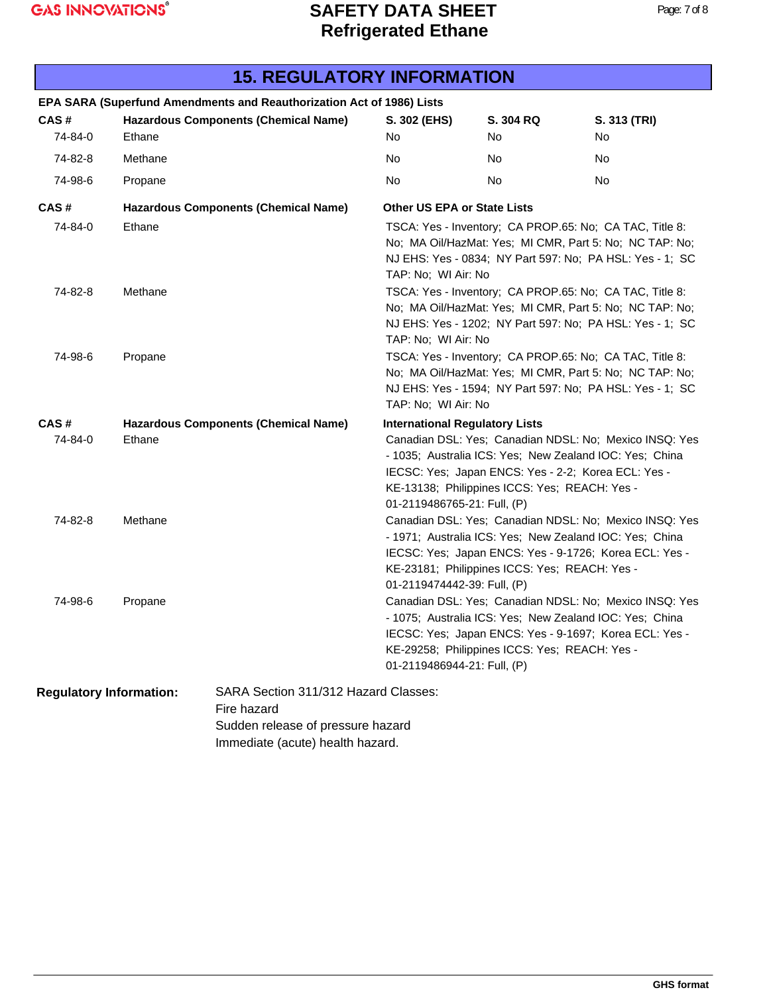| 19. INLOULATURT INI URIIATIUN  |         |                                                                                                                              |                                       |                                                                                                                                                                    |                                                                                                                     |
|--------------------------------|---------|------------------------------------------------------------------------------------------------------------------------------|---------------------------------------|--------------------------------------------------------------------------------------------------------------------------------------------------------------------|---------------------------------------------------------------------------------------------------------------------|
|                                |         | EPA SARA (Superfund Amendments and Reauthorization Act of 1986) Lists                                                        |                                       |                                                                                                                                                                    |                                                                                                                     |
| CAS#                           |         | <b>Hazardous Components (Chemical Name)</b>                                                                                  | S. 302 (EHS)                          | S. 304 RQ                                                                                                                                                          | S. 313 (TRI)                                                                                                        |
| 74-84-0                        | Ethane  |                                                                                                                              | No.                                   | No                                                                                                                                                                 | No                                                                                                                  |
| 74-82-8                        | Methane |                                                                                                                              | No                                    | No                                                                                                                                                                 | No                                                                                                                  |
| 74-98-6                        | Propane |                                                                                                                              | No                                    | No                                                                                                                                                                 | No                                                                                                                  |
| CAS#                           |         | <b>Hazardous Components (Chemical Name)</b>                                                                                  | <b>Other US EPA or State Lists</b>    |                                                                                                                                                                    |                                                                                                                     |
| 74-84-0                        | Ethane  |                                                                                                                              | TAP: No; WI Air: No                   | TSCA: Yes - Inventory; CA PROP.65: No; CA TAC, Title 8:                                                                                                            | No; MA Oil/HazMat: Yes; MI CMR, Part 5: No; NC TAP: No;<br>NJ EHS: Yes - 0834; NY Part 597: No; PA HSL: Yes - 1; SC |
| 74-82-8                        | Methane |                                                                                                                              | TAP: No; WI Air: No                   | TSCA: Yes - Inventory; CA PROP.65: No; CA TAC, Title 8:                                                                                                            | No; MA Oil/HazMat: Yes; MI CMR, Part 5: No; NC TAP: No;<br>NJ EHS: Yes - 1202; NY Part 597: No; PA HSL: Yes - 1; SC |
| 74-98-6                        | Propane |                                                                                                                              | TAP: No; WI Air: No                   | TSCA: Yes - Inventory; CA PROP.65: No; CA TAC, Title 8:                                                                                                            | No; MA Oil/HazMat: Yes; MI CMR, Part 5: No; NC TAP: No;<br>NJ EHS: Yes - 1594; NY Part 597: No; PA HSL: Yes - 1; SC |
| CAS#                           |         | <b>Hazardous Components (Chemical Name)</b>                                                                                  | <b>International Regulatory Lists</b> |                                                                                                                                                                    |                                                                                                                     |
| 74-84-0                        | Ethane  |                                                                                                                              | 01-2119486765-21: Full, (P)           | - 1035; Australia ICS: Yes; New Zealand IOC: Yes; China<br>IECSC: Yes; Japan ENCS: Yes - 2-2; Korea ECL: Yes -<br>KE-13138; Philippines ICCS: Yes; REACH: Yes -    | Canadian DSL: Yes; Canadian NDSL: No; Mexico INSQ: Yes                                                              |
| 74-82-8                        | Methane |                                                                                                                              | 01-2119474442-39: Full, (P)           | - 1971; Australia ICS: Yes; New Zealand IOC: Yes; China<br>IECSC: Yes; Japan ENCS: Yes - 9-1726; Korea ECL: Yes -<br>KE-23181; Philippines ICCS: Yes; REACH: Yes - | Canadian DSL: Yes; Canadian NDSL: No; Mexico INSQ: Yes                                                              |
| 74-98-6                        | Propane |                                                                                                                              | 01-2119486944-21: Full, (P)           | - 1075; Australia ICS: Yes; New Zealand IOC: Yes; China<br>IECSC: Yes; Japan ENCS: Yes - 9-1697; Korea ECL: Yes -<br>KE-29258; Philippines ICCS: Yes; REACH: Yes - | Canadian DSL: Yes; Canadian NDSL: No; Mexico INSQ: Yes                                                              |
| <b>Regulatory Information:</b> |         | SARA Section 311/312 Hazard Classes:<br>Fire hazard<br>Sudden release of pressure hazard<br>Immediate (acute) health hazard. |                                       |                                                                                                                                                                    |                                                                                                                     |